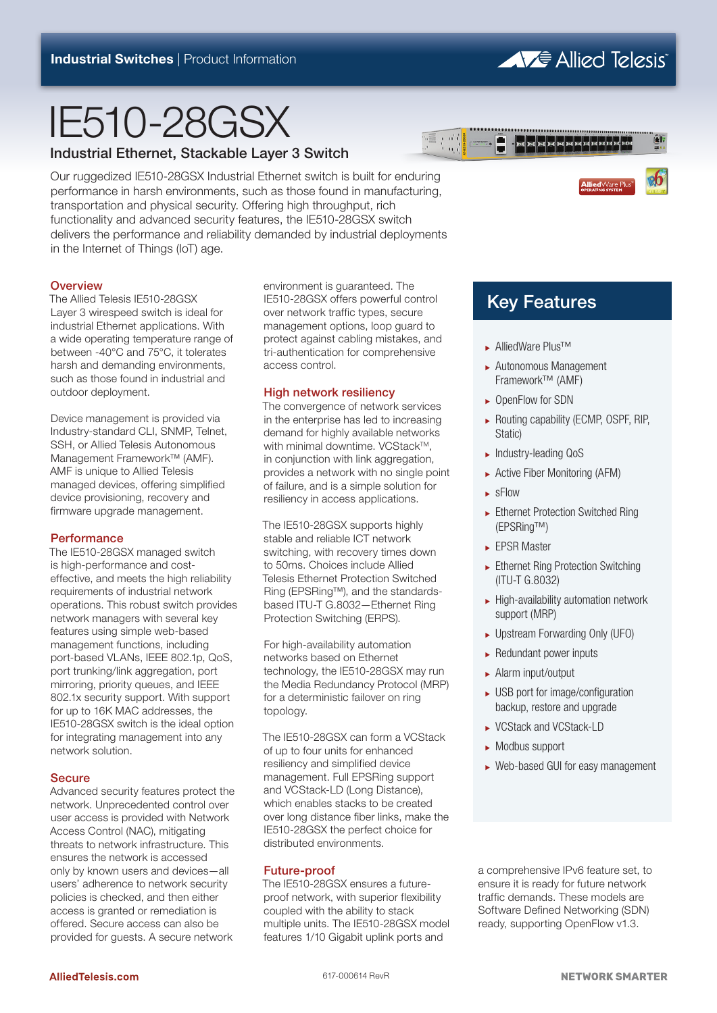# IE510-28GSX

#### Industrial Ethernet, Stackable Layer 3 Switch

Our ruggedized IE510-28GSX Industrial Ethernet switch is built for enduring performance in harsh environments, such as those found in manufacturing, transportation and physical security. Offering high throughput, rich functionality and advanced security features, the IE510-28GSX switch delivers the performance and reliability demanded by industrial deployments in the Internet of Things (IoT) age.

#### **Overview**

The Allied Telesis IE510-28GSX Layer 3 wirespeed switch is ideal for industrial Ethernet applications. With a wide operating temperature range of between -40°C and 75°C, it tolerates harsh and demanding environments, such as those found in industrial and outdoor deployment.

Device management is provided via Industry-standard CLI, SNMP, Telnet, SSH, or Allied Telesis Autonomous Management Framework™ (AMF). AMF is unique to Allied Telesis managed devices, offering simplified device provisioning, recovery and firmware upgrade management.

#### **Performance**

The IE510-28GSX managed switch is high-performance and costeffective, and meets the high reliability requirements of industrial network operations. This robust switch provides network managers with several key features using simple web-based management functions, including port-based VLANs, IEEE 802.1p, QoS, port trunking/link aggregation, port mirroring, priority queues, and IEEE 802.1x security support. With support for up to 16K MAC addresses, the IE510-28GSX switch is the ideal option for integrating management into any network solution.

#### **Secure**

Advanced security features protect the network. Unprecedented control over user access is provided with Network Access Control (NAC), mitigating threats to network infrastructure. This ensures the network is accessed only by known users and devices—all users' adherence to network security policies is checked, and then either access is granted or remediation is offered. Secure access can also be provided for guests. A secure network

environment is guaranteed. The IE510-28GSX offers powerful control over network traffic types, secure management options, loop guard to protect against cabling mistakes, and tri-authentication for comprehensive access control.

#### High network resiliency

The convergence of network services in the enterprise has led to increasing demand for highly available networks with minimal downtime. VCStack™. in conjunction with link aggregation. provides a network with no single point of failure, and is a simple solution for resiliency in access applications.

The IE510-28GSX supports highly stable and reliable ICT network switching, with recovery times down to 50ms. Choices include Allied Telesis Ethernet Protection Switched Ring (EPSRing™), and the standardsbased ITU-T G.8032—Ethernet Ring Protection Switching (ERPS).

For high-availability automation networks based on Ethernet technology, the IE510-28GSX may run the Media Redundancy Protocol (MRP) for a deterministic failover on ring topology.

The IE510-28GSX can form a VCStack of up to four units for enhanced resiliency and simplified device management. Full EPSRing support and VCStack-LD (Long Distance), which enables stacks to be created over long distance fiber links, make the IE510-28GSX the perfect choice for distributed environments.

#### Future-proof

The IE510-28GSX ensures a futureproof network, with superior flexibility coupled with the ability to stack multiple units. The IE510-28GSX model features 1/10 Gigabit uplink ports and

# Key Features

- <sup>ۼ</sup> AlliedWare Plus™
- <sup>ۼ</sup> Autonomous Management Framework™ (AMF)
- ► OpenFlow for SDN
- ▶ Routing capability (ECMP, OSPF, RIP, Static)

A Fe Allied Telesis

ra ra ra ra ra ra ra ra ra r

- <sup>ۼ</sup> Industry-leading QoS
- ▶ Active Fiber Monitoring (AFM)
- $\blacktriangleright$  sFlow
- ► Ethernet Protection Switched Ring (EPSRing™)
- ► EPSR Master
- ► Ethernet Ring Protection Switching (ITU-T G.8032)
- <sup>ۼ</sup> High-availability automation network support (MRP)
- ► Upstream Forwarding Only (UFO)
- $\blacktriangleright$  Redundant power inputs
- <sup>ۼ</sup> Alarm input/output
- <sup>ۼ</sup> USB port for image/configuration backup, restore and upgrade
- <sup>ۼ</sup> VCStack and VCStack-LD
- <sup>ۼ</sup> Modbus support
- ► Web-based GUI for easy management

a comprehensive IPv6 feature set, to ensure it is ready for future network traffic demands. These models are Software Defined Networking (SDN) ready, supporting OpenFlow v1.3.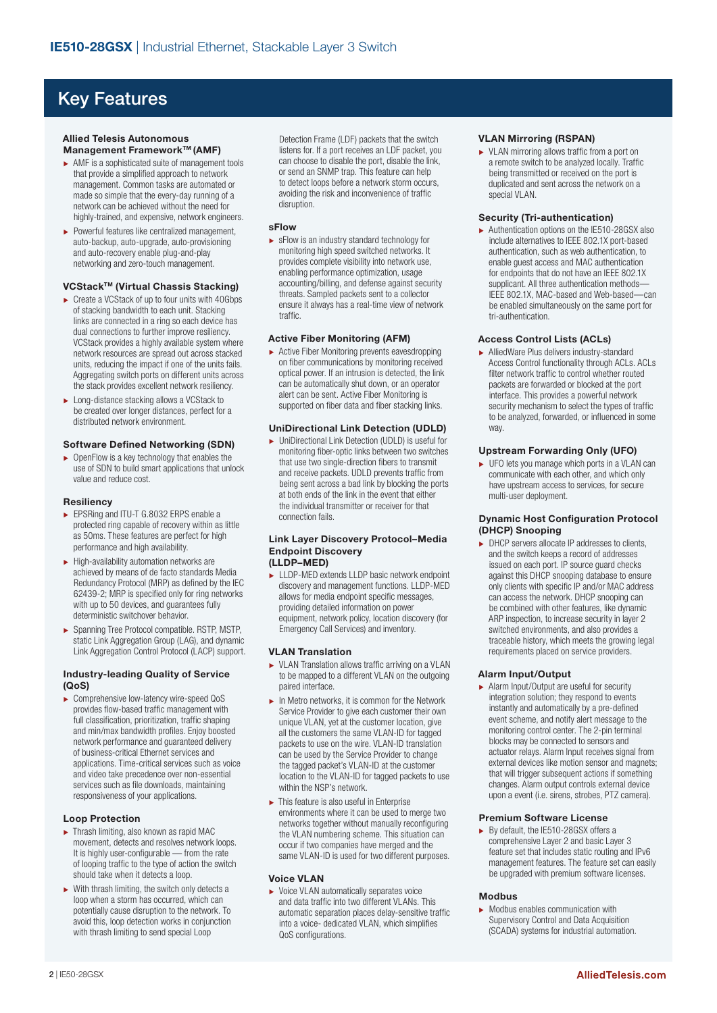# Key Features

#### **Allied Telesis Autonomous Management FrameworkTM (AMF)**

- $\blacktriangleright$  AMF is a sophisticated suite of management tools that provide a simplified approach to network management. Common tasks are automated or made so simple that the every-day running of a network can be achieved without the need for highly-trained, and expensive, network engineers.
- $\blacktriangleright$  Powerful features like centralized management, auto-backup, auto-upgrade, auto-provisioning and auto-recovery enable plug-and-play networking and zero-touch management.

#### **VCStackTM (Virtual Chassis Stacking)**

- $\triangleright$  Create a VCStack of up to four units with 40Gbps of stacking bandwidth to each unit. Stacking links are connected in a ring so each device has dual connections to further improve resiliency. VCStack provides a highly available system where network resources are spread out across stacked units, reducing the impact if one of the units fails. Aggregating switch ports on different units across the stack provides excellent network resiliency.
- ► Long-distance stacking allows a VCStack to be created over longer distances, perfect for a distributed network environment.

#### **Software Defined Networking (SDN)**

ۼ OpenFlow is a key technology that enables the use of SDN to build smart applications that unlock value and reduce cost.

#### **Resiliency**

- EPSRing and ITU-T G.8032 ERPS enable a protected ring capable of recovery within as little as 50ms. These features are perfect for high performance and high availability.
- $\blacktriangleright$  High-availability automation networks are achieved by means of de facto standards Media Redundancy Protocol (MRP) as defined by the IEC 62439-2; MRP is specified only for ring networks with up to 50 devices, and guarantees fully deterministic switchover behavior.
- ۼ Spanning Tree Protocol compatible. RSTP, MSTP, static Link Aggregation Group (LAG), and dynamic Link Aggregation Control Protocol (LACP) support.

#### **Industry-leading Quality of Service (QoS)**

ۼ Comprehensive low-latency wire-speed QoS provides flow-based traffic management with full classification, prioritization, traffic shaping and min/max bandwidth profiles. Enjoy boosted network performance and guaranteed delivery of business-critical Ethernet services and applications. Time-critical services such as voice and video take precedence over non-essential services such as file downloads, maintaining responsiveness of your applications.

#### **Loop Protection**

- $\blacktriangleright$  Thrash limiting, also known as rapid MAC movement, detects and resolves network loops. It is highly user-configurable — from the rate of looping traffic to the type of action the switch should take when it detects a loop.
- $\triangleright$  With thrash limiting, the switch only detects a loop when a storm has occurred, which can potentially cause disruption to the network. To avoid this, loop detection works in conjunction with thrash limiting to send special Loop

Detection Frame (LDF) packets that the switch listens for. If a port receives an LDF packet, you can choose to disable the port, disable the link, or send an SNMP trap. This feature can help to detect loops before a network storm occurs, avoiding the risk and inconvenience of traffic disruption

#### **sFlow**

 $\blacktriangleright$  sFlow is an industry standard technology for monitoring high speed switched networks. It provides complete visibility into network use, enabling performance optimization, usage accounting/billing, and defense against security threats. Sampled packets sent to a collector ensure it always has a real-time view of network traffic.

#### **Active Fiber Monitoring (AFM)**

 $\triangleright$  Active Fiber Monitoring prevents eavesdropping on fiber communications by monitoring received optical power. If an intrusion is detected, the link can be automatically shut down, or an operator alert can be sent. Active Fiber Monitoring is supported on fiber data and fiber stacking links.

#### **UniDirectional Link Detection (UDLD)**

ۼ UniDirectional Link Detection (UDLD) is useful for monitoring fiber-optic links between two switches that use two single-direction fibers to transmit and receive packets. UDLD prevents traffic from being sent across a bad link by blocking the ports at both ends of the link in the event that either the individual transmitter or receiver for that connection fails.

#### **Link Layer Discovery Protocol–Media Endpoint Discovery (LLDP–MED)**

ۼ LLDP-MED extends LLDP basic network endpoint discovery and management functions. LLDP-MED allows for media endpoint specific messages, providing detailed information on power equipment, network policy, location discovery (for Emergency Call Services) and inventory.

#### **VLAN Translation**

- ۼ VLAN Translation allows traffic arriving on a VLAN to be mapped to a different VLAN on the outgoing paired interface.
- $\blacktriangleright$  In Metro networks, it is common for the Network Service Provider to give each customer their own unique VLAN, yet at the customer location, give all the customers the same VLAN-ID for tagged packets to use on the wire. VLAN-ID translation can be used by the Service Provider to change the tagged packet's VLAN-ID at the customer location to the VLAN-ID for tagged packets to use within the NSP's network.
- $\blacktriangleright$  This feature is also useful in Enterprise environments where it can be used to merge two networks together without manually reconfiguring the VLAN numbering scheme. This situation can occur if two companies have merged and the same VLAN-ID is used for two different purposes.

#### **Voice VLAN**

 $\blacktriangleright$  Voice VLAN automatically separates voice and data traffic into two different VLANs. This automatic separation places delay-sensitive traffic into a voice- dedicated VLAN, which simplifies QoS configurations.

#### **VLAN Mirroring (RSPAN)**

▶ VLAN mirroring allows traffic from a port on a remote switch to be analyzed locally. Traffic being transmitted or received on the port is duplicated and sent across the network on a special VLAN.

#### **Security (Tri-authentication)**

► Authentication options on the IE510-28GSX also include alternatives to IEEE 802.1X port-based authentication, such as web authentication, to enable guest access and MAC authentication for endpoints that do not have an IEEE 802.1X supplicant. All three authentication methods-IEEE 802.1X, MAC-based and Web-based—can be enabled simultaneously on the same port for tri-authentication.

#### **Access Control Lists (ACLs)**

ۼ AlliedWare Plus delivers industry-standard Access Control functionality through ACLs. ACLs filter network traffic to control whether routed packets are forwarded or blocked at the port interface. This provides a powerful network security mechanism to select the types of traffic to be analyzed, forwarded, or influenced in some way.

#### **Upstream Forwarding Only (UFO)**

► UFO lets you manage which ports in a VLAN can communicate with each other, and which only have upstream access to services, for secure multi-user deployment.

#### **Dynamic Host Configuration Protocol (DHCP) Snooping**

▶ DHCP servers allocate IP addresses to clients, and the switch keeps a record of addresses issued on each port. IP source guard checks against this DHCP snooping database to ensure only clients with specific IP and/or MAC address can access the network. DHCP snooping can be combined with other features, like dynamic ARP inspection, to increase security in layer 2 switched environments, and also provides a traceable history, which meets the growing legal requirements placed on service providers.

#### **Alarm Input/Output**

 $\blacktriangleright$  Alarm Input/Output are useful for security integration solution; they respond to events instantly and automatically by a pre-defined event scheme, and notify alert message to the monitoring control center. The 2-pin terminal blocks may be connected to sensors and actuator relays. Alarm Input receives signal from external devices like motion sensor and magnets; that will trigger subsequent actions if something changes. Alarm output controls external device upon a event (i.e. sirens, strobes, PTZ camera).

#### **Premium Software License**

► By default, the IE510-28GSX offers a comprehensive Layer 2 and basic Layer 3 feature set that includes static routing and IPv6 management features. The feature set can easily be upgraded with premium software licenses.

#### **Modbus**

 $\blacktriangleright$  Modbus enables communication with Supervisory Control and Data Acquisition (SCADA) systems for industrial automation.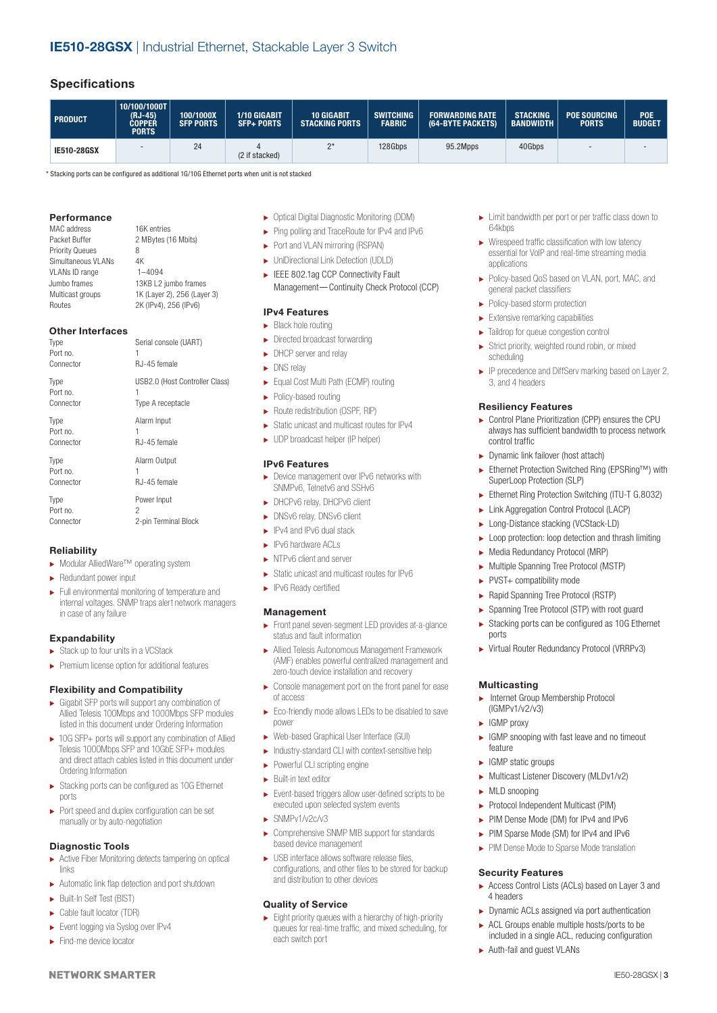#### **Specifications**

| <b>PRODUCT</b>     | 10/100/1000T<br>$(RJ-45)$<br><b>COPPER</b><br><b>PORTS</b> | 100/1000X<br><b>SFP PORTS</b> | 1/10 GIGABIT<br><b>SFP+ PORTS</b> | <b>10 GIGABIT</b><br><b>STACKING PORTS</b> | <b>SWITCHING</b><br><b>FABRIC</b> | <b>FORWARDING RATE</b><br>(64-BYTE PACKETS) | <b>STACKING</b><br><b>BANDWIDTH</b> | <b>POE SOURCING</b><br><b>PORTS</b> | <b>POF</b><br><b>BUDGET</b> |
|--------------------|------------------------------------------------------------|-------------------------------|-----------------------------------|--------------------------------------------|-----------------------------------|---------------------------------------------|-------------------------------------|-------------------------------------|-----------------------------|
| <b>IE510-28GSX</b> |                                                            | 24                            | (2 if stacked)                    | n*                                         | 128Gbps                           | 95.2Mpps                                    | 40Gbps                              |                                     |                             |

\* Stacking ports can be configured as additional 1G/10G Ethernet ports when unit is not stacked

#### **Performance**

| 16K entries                 |
|-----------------------------|
| 2 MBytes (16 Mbits)         |
| 8                           |
| 4K                          |
| $1 - 4094$                  |
| 13KB L2 jumbo frames        |
| 1K (Layer 2), 256 (Layer 3) |
| 2K (IPv4), 256 (IPv6)       |
|                             |

#### **Other Interfaces**

| Type                          | Serial console (UART)          |
|-------------------------------|--------------------------------|
| Port no.                      | 1                              |
| Connector                     | RJ-45 female                   |
| Type                          | USB2.0 (Host Controller Class) |
| Port no.                      | 1                              |
| Connector                     | Type A receptacle              |
| Type<br>Port no.<br>Connector | Alarm Input<br>RJ-45 female    |
| Type<br>Port no.<br>Connector | Alarm Output<br>RJ-45 female   |
| Type                          | Power Input                    |
| Port no.                      | 2                              |
| Connector                     | 2-pin Terminal Block           |

#### **Reliability**

- ۼ Modular AlliedWare™ operating system
- ۼ Redundant power input
- ۼ Full environmental monitoring of temperature and internal voltages. SNMP traps alert network managers in case of any failure

#### **Expandability**

- $\blacktriangleright$  Stack up to four units in a VCStack
- $\blacktriangleright$  Premium license option for additional features

#### **Flexibility and Compatibility**

- ۼ Gigabit SFP ports will support any combination of Allied Telesis 100Mbps and 1000Mbps SFP modules listed in this document under Ordering Information
- ▶ 10G SFP+ ports will support any combination of Allied Telesis 1000Mbps SFP and 10GbE SFP+ modules and direct attach cables listed in this document under Ordering Information
- ► Stacking ports can be configured as 10G Ethernet ports
- $\blacktriangleright$  Port speed and duplex configuration can be set manually or by auto-negotiation

#### **Diagnostic Tools**

- ۼ Active Fiber Monitoring detects tampering on optical links
- ۼ Automatic link flap detection and port shutdown
- ۼ Built-In Self Test (BIST)
- ۼ Cable fault locator (TDR)

**NETWORK SMARTER** 

- ► Event logging via Syslog over IPv4
- Find-me device locator
- ۼ Optical Digital Diagnostic Monitoring (DDM)
	- ► Ping polling and TraceRoute for IPv4 and IPv6
- ► Port and VLAN mirroring (RSPAN)
- ۼ UniDirectional Link Detection (UDLD)
- E IEEE 802.1ag CCP Connectivity Fault Management—Continuity Check Protocol (CCP)

#### **IPv4 Features**

- $\blacktriangleright$  Black hole routing
- ۼ Directed broadcast forwarding
- **DHCP** server and relay
- DNS relay
- ► Equal Cost Multi Path (ECMP) routing
- ۼ Policy-based routing
- ۼ Route redistribution (OSPF, RIP)
- ► Static unicast and multicast routes for IPv4
- ۼ UDP broadcast helper (IP helper)

#### **IPv6 Features**

- ► Device management over IPv6 networks with SNMPv6, Telnetv6 and SSHv6
- ۼ DHCPv6 relay, DHCPv6 client
- ► DNSv6 relay, DNSv6 client
- ► IPv4 and IPv6 dual stack
- ► IPv6 hardware ACLs
- ► NTPv6 client and server
- ► Static unicast and multicast routes for IPv6
- ► IPv6 Ready certified

#### **Management**

- ۼ Front panel seven-segment LED provides at-a-glance status and fault information
- ۼ Allied Telesis Autonomous Management Framework (AMF) enables powerful centralized management and zero-touch device installation and recovery
- ۼ Console management port on the front panel for ease of access
- ► Eco-friendly mode allows LEDs to be disabled to save power
- ۼ Web-based Graphical User Interface (GUI)
- $\blacktriangleright$  Industry-standard CLI with context-sensitive help
- ► Powerful CLI scripting engine
- $\blacktriangleright$  Built-in text editor
- $\blacktriangleright$  Event-based triggers allow user-defined scripts to be executed upon selected system events
- $SNMPv1/v2c/v3$
- ۼ Comprehensive SNMP MIB support for standards based device management
- USB interface allows software release files, configurations, and other files to be stored for backup and distribution to other devices

#### **Quality of Service**

 $\blacktriangleright$  Eight priority queues with a hierarchy of high-priority queues for real-time traffic, and mixed scheduling, for each switch port

- ► Limit bandwidth per port or per traffic class down to 64kbps
- $\blacktriangleright$  Wirespeed traffic classification with low latency essential for VoIP and real-time streaming media applications
- ► Policy-based QoS based on VLAN, port, MAC, and general packet classifiers
- ▶ Policy-based storm protection
- $\blacktriangleright$  Extensive remarking capabilities
- ۼ Taildrop for queue congestion control
- ۼ Strict priority, weighted round robin, or mixed scheduling
- ۼ IP precedence and DiffServ marking based on Layer 2, 3, and 4 headers

#### **Resiliency Features**

- ۼ Control Plane Prioritization (CPP) ensures the CPU always has sufficient bandwidth to process network control traffic
- ۼ Dynamic link failover (host attach)
- ۼ Ethernet Protection Switched Ring (EPSRing™) with SuperLoop Protection (SLP)
- ► Ethernet Ring Protection Switching (ITU-T G.8032)
- ۼ Link Aggregation Control Protocol (LACP)
- ۼ Long-Distance stacking (VCStack-LD)
- ۼ Loop protection: loop detection and thrash limiting
- ۼ Media Redundancy Protocol (MRP)
- ۼ Multiple Spanning Tree Protocol (MSTP)
- ▶ PVST+ compatibility mode
- ۼ Rapid Spanning Tree Protocol (RSTP)
- ۼ Spanning Tree Protocol (STP) with root guard
- ▶ Stacking ports can be configured as 10G Ethernet ports
- ۼ Virtual Router Redundancy Protocol (VRRPv3)

#### **Multicasting**

- ۼ Internet Group Membership Protocol (IGMPv1/v2/v3)
- ۼ IGMP proxy
- ۼ IGMP snooping with fast leave and no timeout feature
- **EXECUTE:** IGMP static groups

**Security Features**

ۼ Auth-fail and guest VLANs

4 headers

- ► Multicast Listener Discovery (MLDv1/v2)
- $\blacktriangleright$  MLD snooping
- ۼ Protocol Independent Multicast (PIM)
- ۼ PIM Dense Mode (DM) for IPv4 and IPv6
- ► PIM Sparse Mode (SM) for IPv4 and IPv6
- ► PIM Dense Mode to Sparse Mode translation

► Access Control Lists (ACLs) based on Layer 3 and

ۼ Dynamic ACLs assigned via port authentication ► ACL Groups enable multiple hosts/ports to be included in a single ACL, reducing configuration

IE50-28GSX | 3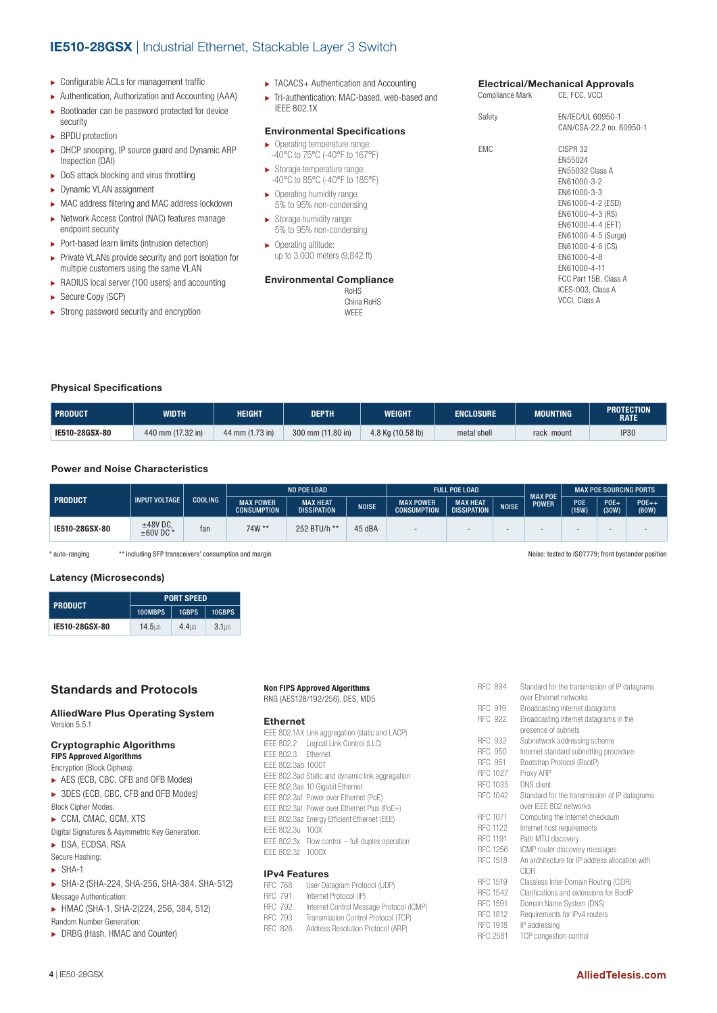# **IE510-28GSX** | Industrial Ethernet, Stackable Layer 3 Switch

- $\triangleright$  Configurable ACLs for management traffic
- ۼ Authentication, Authorization and Accounting (AAA)  $\blacktriangleright$  Bootloader can be password protected for device security
- **BPDU** protection
- ► DHCP snooping, IP source guard and Dynamic ARP Inspection (DAI)
- ▶ DoS attack blocking and virus throttling
- ► Dynamic VLAN assignment
- ▶ MAC address filtering and MAC address lockdown
- ▶ Network Access Control (NAC) features manage endpoint security
- $\blacktriangleright$  Port-based learn limits (intrusion detection)
- ۼ Private VLANs provide security and port isolation for multiple customers using the same VLAN
- ۼ RADIUS local server (100 users) and accounting
- ► Secure Copy (SCP)
- $\blacktriangleright$  Strong password security and encryption
- ۼ TACACS+ Authentication and Accounting
- ۼ Tri-authentication: MAC-based, web-based and IEEE 802.1X

#### **Environmental Specifications**

- ۼ Operating temperature range: -40°C to 75°C (-40°F to 167°F)
- ۼ Storage temperature range: -40°C to 85°C (-40°F to 185°F)
- ۼ Operating humidity range: 5% to 95% non-condensing
- ۼ Storage humidity range: 5% to 95% non-condensing
- ► Operating altitude: up to 3,000 meters (9,842 ft)

#### **Environmental Compliance**

 RoHS China RoHS **WEEE** 

#### **Electrical/Mechanical Approvals**

Compliance Mark CE, FCC, VCC

| Safety     | FN/IFC/UL 60950-1<br>CAN/CSA-22.2 no. 60950-1                                                                                                                                                                                                                                      |
|------------|------------------------------------------------------------------------------------------------------------------------------------------------------------------------------------------------------------------------------------------------------------------------------------|
| <b>FMC</b> | CISPR 32<br>FN55024<br><b>FN55032 Class A</b><br>FN61000-3-2<br>FN61000-3-3<br>EN61000-4-2 (ESD)<br>EN61000-4-3 (RS)<br>EN61000-4-4 (EFT)<br>EN61000-4-5 (Surge)<br>EN61000-4-6 (CS)<br>FN61000-4-8<br>FN61000-4-11<br>FCC Part 15B, Class A<br>ICES-003, Class A<br>VCCI. Class A |

#### **Physical Specifications**

| I PRODUCT      | WIDTH             | HEIGHT          | DEPTH                       | <b>WEIGHT</b><br>ENCLOSURE |             | <b>MOUNTING</b> | PROTECTION<br><b>RATE</b> |
|----------------|-------------------|-----------------|-----------------------------|----------------------------|-------------|-----------------|---------------------------|
| IE510-28GSX-80 | 440 mm (17.32 in) | 44 mm (1.73 in) | $300 \text{ mm}$ (11.80 in) | 4.8 Kg (10.58 lb)          | metal shell | mount<br>rack   | <b>IP30</b>               |

#### **Power and Noise Characteristics**

|                | <b>INPUT VOLTAGE</b>        | <b>COOLING</b> | <b>NO POE LOAD</b>                     |                                       | <b>FULL POE LOAD</b> |                                        |                                       | <b>MAX POE</b> | <b>MAX POE SOURCING PORTS</b> |                     |                 |                          |
|----------------|-----------------------------|----------------|----------------------------------------|---------------------------------------|----------------------|----------------------------------------|---------------------------------------|----------------|-------------------------------|---------------------|-----------------|--------------------------|
| <b>PRODUCT</b> |                             |                | <b>MAX POWER</b><br><b>CONSUMPTION</b> | <b>MAX HEAT</b><br><b>DISSIPATION</b> | <b>NOISE</b>         | <b>MAX POWER</b><br><b>CONSUMPTION</b> | <b>MAX HEAT</b><br><b>DISSIPATION</b> | <b>NOISE</b>   | <b>POWER</b>                  | <b>POE</b><br>(15W) | $POE+$<br>(30W) | $POE++$<br>(60W)         |
| IE510-28GSX-80 | $±48V$ DC.<br>$\pm 60$ VDC* | fan            | 74W **                                 | 252 BTU/h **                          | 45 dBA               | $\overline{\phantom{a}}$               |                                       | $\,$           | $\overline{\phantom{0}}$      |                     | -               | $\overline{\phantom{a}}$ |

\* auto-ranging \*\* including SFP transceivers' consumption and margin

#### **Latency (Microseconds)**

| <b>PRODUCT</b> | <b>PORT SPEED</b>  |                   |                   |  |  |  |
|----------------|--------------------|-------------------|-------------------|--|--|--|
|                | 100MBPS            | 1GBPS             | 10GBPS            |  |  |  |
| IE510-28GSX-80 | 14.5 <sub>US</sub> | 4.4 <sub>US</sub> | 3.1 <sub>US</sub> |  |  |  |

#### **Standards and Protocols**

#### **AlliedWare Plus Operating System** Version 5.5.1

#### **Cryptographic Algorithms**

**FIPS Approved Algorithms**  Encryption (Block Ciphers):

- ► AES (ECB, CBC, CFB and OFB Modes)
- ۼ 3DES (ECB, CBC, CFB and OFB Modes)
- Block Cipher Modes:
- ► CCM, CMAC, GCM, XTS
- Digital Signatures & Asymmetric Key Generation:
- ▶ DSA, ECDSA, RSA
- Secure Hashing:
- $\blacktriangleright$  SHA-1
- ۼ SHA-2 (SHA-224, SHA-256, SHA-384. SHA-512) Message Authentication
- ۼ HMAC (SHA-1, SHA-2(224, 256, 384, 512)
- Random Number Generation:
- ▶ DRBG (Hash, HMAC and Counter)

#### **Non FIPS Approved Algorithms**

RNG (AES128/192/256), DES, MD5

#### **Ethernet**

IEEE 802.1AX Link aggregation (static and LACP) IEEE 802.2 Logical Link Control (LLC) IEEE 802.3 Ethernet IEEE 802.3ab 1000T IEEE 802.3ad Static and dynamic link aggregation IEEE 802.3ae 10 Gigabit Ethernet IEEE 802.3af Power over Ethernet (PoE) IEEE 802.3at Power over Ethernet Plus (PoE+) IEEE 802.3az Energy Efficient Ethernet (EEE) IEEE 802.3u 100X IEEE 802.3x Flow control – full-duplex operation IEEE 802.3z 1000X

#### **IPv4 Features**

|         | RFC 768 | User Datagram Protocol (UDP)             |
|---------|---------|------------------------------------------|
| RFC 791 |         | Internet Protocol (IP)                   |
|         | RFC 792 | Internet Control Message Protocol (ICMP) |
|         | RFC 793 | Transmission Control Protocol (TCP)      |
|         |         |                                          |

RFC 826 Address Resolution Protocol (ARP)

| <b>RFC 894</b>  | Standard for the transmission of IP datagrams<br>over Ethernet networks |
|-----------------|-------------------------------------------------------------------------|
| RFC 919         | Broadcasting Internet datagrams                                         |
| <b>RFC 922</b>  | Broadcasting Internet datagrams in the                                  |
|                 | presence of subnets                                                     |
| RFC 932         | Subnetwork addressing scheme                                            |
| RFC 950         | Internet standard subnetting procedure                                  |
| <b>RFC 951</b>  | Bootstrap Protocol (BootP)                                              |
| RFC 1027        | Proxy ARP                                                               |
| RFC 1035        | DNS client                                                              |
| RFC 1042        | Standard for the transmission of IP datagrams                           |
|                 | over IFFF 802 networks                                                  |
| RFC 1071        | Computing the Internet checksum                                         |
| <b>RFC 1122</b> | Internet host requirements                                              |
| RFC 1191        | Path MTU discovery                                                      |
| <b>RFC 1256</b> | ICMP router discovery messages                                          |
| <b>RFC 1518</b> | An architecture for IP address allocation with<br>CIDR                  |
| RFC 1519        | Classless Inter-Domain Routing (CIDR)                                   |
| RFC 1542        | Clarifications and extensions for BootP                                 |
| RFC 1591        | Domain Name System (DNS)                                                |
| RFC 1812        | Requirements for IPv4 routers                                           |
| RFC 1918        | IP addressing                                                           |
| <b>RFC 2581</b> | TCP congestion control                                                  |
|                 |                                                                         |

Noise: tested to ISO7779; front bystander position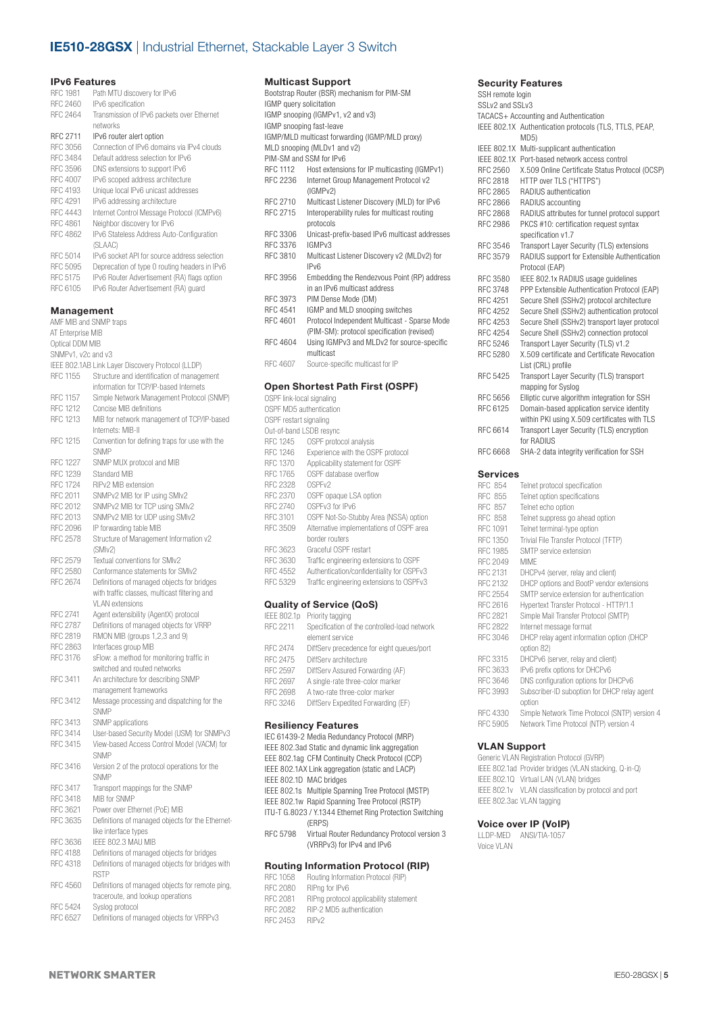## **IE510-28GSX** | Industrial Ethernet, Stackable Layer 3 Switch

| <b>IPv6 Features</b>   |                                                   |
|------------------------|---------------------------------------------------|
| RFC 1981               | Path MTU discovery for IPv6                       |
| <b>RFC 2460</b>        | IPv6 specification                                |
| RFC 2464               | Transmission of IPv6 packets over Ethernet        |
|                        | networks                                          |
| <b>RFC 2711</b>        |                                                   |
|                        | IPv6 router alert option                          |
| RFC 3056               | Connection of IPv6 domains via IPv4 clouds        |
| <b>RFC 3484</b>        | Default address selection for IPv6                |
| <b>RFC 3596</b>        | DNS extensions to support IPv6                    |
| <b>RFC 4007</b>        | IPv6 scoped address architecture                  |
| <b>RFC 4193</b>        | Unique local IPv6 unicast addresses               |
| RFC 4291               | IPv6 addressing architecture                      |
| <b>RFC 4443</b>        | Internet Control Message Protocol (ICMPv6)        |
| RFC 4861               | Neighbor discovery for IPv6                       |
|                        |                                                   |
| <b>RFC 4862</b>        | IPv6 Stateless Address Auto-Configuration         |
|                        | (SLAAC)                                           |
| RFC 5014               | IPv6 socket API for source address selection      |
| RFC 5095               | Deprecation of type 0 routing headers in IPv6     |
| RFC 5175               | IPv6 Router Advertisement (RA) flags option       |
| RFC 6105               | IPv6 Router Advertisement (RA) guard              |
|                        |                                                   |
|                        |                                                   |
| Management             |                                                   |
| AMF MIB and SNMP traps |                                                   |
| AT Enterprise MIB      |                                                   |
| Optical DDM MIB        |                                                   |
| SNMPv1, v2c and v3     |                                                   |
|                        | IEEE 802.1AB Link Layer Discovery Protocol (LLDP) |
| RFC 1155               | Structure and identification of management        |
|                        | information for TCP/IP-based Internets            |
| RFC 1157               | Simple Network Management Protocol (SNMP)         |
| <b>RFC 1212</b>        |                                                   |
|                        | Concise MIB definitions                           |
| <b>RFC 1213</b>        | MIB for network management of TCP/IP-based        |
|                        | Internets: MIB-II                                 |
| RFC 1215               | Convention for defining traps for use with the    |
|                        | SNMP                                              |
| <b>RFC 1227</b>        | SNMP MUX protocol and MIB                         |
| RFC 1239               | <b>Standard MIB</b>                               |
| RFC 1724               | RIPv2 MIB extension                               |
| RFC 2011               | SNMPv2 MIB for IP using SMIv2                     |
| RFC 2012               | SNMPv2 MIB for TCP using SMIv2                    |
|                        |                                                   |
| RFC 2013               | SNMPv2 MIB for UDP using SMIv2                    |
| RFC 2096               | IP forwarding table MIB                           |
| RFC 2578               | Structure of Management Information v2            |
|                        | (SMIv2)                                           |
| RFC 2579               | Textual conventions for SMIv2                     |
| RFC 2580               | Conformance statements for SMIv2                  |
| <b>RFC 2674</b>        | Definitions of managed objects for bridges        |
|                        | with traffic classes, multicast filtering and     |
|                        | <b>VLAN</b> extensions                            |
| RFC 2741               | Agent extensibility (AgentX) protocol             |
|                        |                                                   |
| <b>RFC 2787</b>        | Definitions of managed objects for VRRP           |
| RFC 2819               | RMON MIB (groups 1,2,3 and 9)                     |
| RFC 2863               | Interfaces group MIB                              |
| RFC 3176               | sFlow: a method for monitoring traffic in         |
|                        | switched and routed networks                      |
| RFC 3411               | An architecture for describing SNMP               |
|                        | management frameworks                             |
| RFC 3412               | Message processing and dispatching for the        |
|                        | <b>SNMP</b>                                       |
| RFC 3413               | SNMP applications                                 |
|                        |                                                   |
| RFC 3414               | User-based Security Model (USM) for SNMPv3        |
| RFC 3415               | View-based Access Control Model (VACM) for        |
|                        | <b>SNMP</b>                                       |
| <b>RFC 3416</b>        | Version 2 of the protocol operations for the      |
|                        | SNMP                                              |
| RFC 3417               | Transport mappings for the SNMP                   |
| <b>RFC 3418</b>        | MIB for SNMP                                      |
| RFC 3621               | Power over Ethernet (PoE) MIB                     |
| <b>RFC 3635</b>        | Definitions of managed objects for the Ethernet-  |
|                        | like interface types                              |
| RFC 3636               | IEEE 802.3 MAU MIB                                |
| <b>RFC 4188</b>        |                                                   |
|                        | Definitions of managed objects for bridges        |
| <b>RFC 4318</b>        | Definitions of managed objects for bridges with   |
|                        | <b>RSTP</b>                                       |
| RFC 4560               | Definitions of managed objects for remote ping,   |
|                        | traceroute, and lookup operations                 |
| RFC 5424               | Syslog protocol                                   |

RFC 6527 Definitions of managed objects for VRRPv3

#### **Multicast Support**

| Bootstrap Router (BSR) mechanism for PIM-SM |                                                                       |  |  |  |  |  |
|---------------------------------------------|-----------------------------------------------------------------------|--|--|--|--|--|
| IGMP query solicitation                     |                                                                       |  |  |  |  |  |
|                                             | IGMP snooping (IGMPv1, v2 and v3)                                     |  |  |  |  |  |
|                                             | IGMP snooping fast-leave                                              |  |  |  |  |  |
|                                             | IGMP/MLD multicast forwarding (IGMP/MLD proxy)                        |  |  |  |  |  |
|                                             | MLD snooping (MLDv1 and v2)                                           |  |  |  |  |  |
|                                             | PIM-SM and SSM for IPv6                                               |  |  |  |  |  |
| RFC 1112                                    | Host extensions for IP multicasting (IGMPv1)                          |  |  |  |  |  |
| RFC 2236                                    | Internet Group Management Protocol v2<br>(IGMPv2)                     |  |  |  |  |  |
| RFC 2710                                    | Multicast Listener Discovery (MLD) for IPv6                           |  |  |  |  |  |
| RFC 2715                                    | Interoperability rules for multicast routing                          |  |  |  |  |  |
|                                             | protocols                                                             |  |  |  |  |  |
| RFC 3306                                    | Unicast-prefix-based IPv6 multicast addresses                         |  |  |  |  |  |
| RFC 3376                                    | IGMP <sub>v3</sub>                                                    |  |  |  |  |  |
| <b>RFC 3810</b>                             | Multicast Listener Discovery v2 (MLDv2) for<br><b>IPv<sub>6</sub></b> |  |  |  |  |  |
| RFC 3956                                    | Embedding the Rendezvous Point (RP) address                           |  |  |  |  |  |
|                                             | in an IPv6 multicast address                                          |  |  |  |  |  |
| RFC 3973                                    | PIM Dense Mode (DM)                                                   |  |  |  |  |  |
| RFC 4541                                    | IGMP and MLD snooping switches                                        |  |  |  |  |  |
| RFC 4601                                    | Protocol Independent Multicast - Sparse Mode                          |  |  |  |  |  |
|                                             | (PIM-SM): protocol specification (revised)                            |  |  |  |  |  |
| RFC 4604                                    | Using IGMPv3 and MLDv2 for source-specific                            |  |  |  |  |  |
|                                             | multicast                                                             |  |  |  |  |  |
| RFC 4607                                    | Source-specific multicast for IP                                      |  |  |  |  |  |

#### **Open Shortest Path First (OSPF)**

| OSPF link-local signaling |                                           |  |  |  |  |  |
|---------------------------|-------------------------------------------|--|--|--|--|--|
| OSPE MD5 authentication   |                                           |  |  |  |  |  |
| OSPF restart signaling    |                                           |  |  |  |  |  |
| Out-of-band LSDB resync   |                                           |  |  |  |  |  |
| RFC 1245                  | OSPF protocol analysis                    |  |  |  |  |  |
| RFC 1246                  | Experience with the OSPF protocol         |  |  |  |  |  |
| RFC 1370                  | Applicability statement for OSPF          |  |  |  |  |  |
| RFC 1765                  | OSPE database overflow                    |  |  |  |  |  |
| <b>RFC 2328</b>           | OSPE <sub>v2</sub>                        |  |  |  |  |  |
| RFC 2370                  | OSPF opaque LSA option                    |  |  |  |  |  |
| <b>RFC 2740</b>           | OSPEv3 for IPv6                           |  |  |  |  |  |
| RFC 3101                  | OSPF Not-So-Stubby Area (NSSA) option     |  |  |  |  |  |
| RFC 3509                  | Alternative implementations of OSPF area  |  |  |  |  |  |
|                           | border routers                            |  |  |  |  |  |
| RFC 3623                  | Graceful OSPF restart                     |  |  |  |  |  |
| RFC 3630                  | Traffic engineering extensions to OSPF    |  |  |  |  |  |
| RFC 4552                  | Authentication/confidentiality for OSPFv3 |  |  |  |  |  |
| RFC 5329                  | Traffic engineering extensions to OSPFv3  |  |  |  |  |  |
|                           |                                           |  |  |  |  |  |

#### **Quality of Service (QoS)**

| IEEE 802.1p | Priority tagging                             |
|-------------|----------------------------------------------|
| RFC 2211    | Specification of the controlled-load network |
|             | element service                              |
| RFC 2474    | DiffServ precedence for eight queues/port    |
| RFC 2475    | DiffServ architecture                        |
| RFC 2597    | DiffServ Assured Forwarding (AF)             |
| RFC 2697    | A single-rate three-color marker             |
| RFC 2698    | A two-rate three-color marker                |
| RFC 3246    | DiffServ Expedited Forwarding (EF)           |
|             |                                              |
|             |                                              |

#### **Resiliency Features**

|                                           | IEC 61439-2 Media Redundancy Protocol (MRP)              |  |  |  |
|-------------------------------------------|----------------------------------------------------------|--|--|--|
|                                           | IEEE 802.3ad Static and dynamic link aggregation         |  |  |  |
|                                           | EEE 802.1aq CFM Continuity Check Protocol (CCP)          |  |  |  |
|                                           | IEEE 802.1AX Link aggregation (static and LACP)          |  |  |  |
| IEEE 802.1D MAC bridges                   |                                                          |  |  |  |
|                                           | IEEE 802.1s Multiple Spanning Tree Protocol (MSTP)       |  |  |  |
|                                           | IEEE 802.1w Rapid Spanning Tree Protocol (RSTP)          |  |  |  |
|                                           | ITU-T G.8023 / Y.1344 Ethernet Ring Protection Switching |  |  |  |
|                                           | (ERPS)                                                   |  |  |  |
| RFC 5798                                  | Virtual Router Redundancy Protocol version 3             |  |  |  |
|                                           | (VRRPv3) for IPv4 and IPv6                               |  |  |  |
|                                           |                                                          |  |  |  |
| <b>Routing Information Protocol (RIP)</b> |                                                          |  |  |  |

#### **Routing Information Protocol (RIP)**

| <b>RFC 1058</b> | Routing Information Protocol (RIP)     |
|-----------------|----------------------------------------|
| RFC 2080        | RIPng for IPv6                         |
| RFC 2081        | RIPng protocol applicability statement |
| RFC 2082        | RIP-2 MD5 authentication               |
| RFC 2453        | RIP <sub>v2</sub>                      |
|                 |                                        |

#### **Security Features**

|                    | Security Features                                              |  |  |  |
|--------------------|----------------------------------------------------------------|--|--|--|
| SSH remote login   |                                                                |  |  |  |
| SSLv2 and SSLv3    |                                                                |  |  |  |
|                    | TACACS+ Accounting and Authentication                          |  |  |  |
|                    | IEEE 802.1X Authentication protocols (TLS, TTLS, PEAP,<br>MD5) |  |  |  |
| <b>IEEE 802.1X</b> | Multi-supplicant authentication                                |  |  |  |
| <b>IEEE 802.1X</b> | Port-based network access control                              |  |  |  |
|                    |                                                                |  |  |  |
| RFC 2560           | X.509 Online Certificate Status Protocol (OCSP)                |  |  |  |
| RFC 2818           | HTTP over TLS ("HTTPS")                                        |  |  |  |
| <b>RFC 2865</b>    | RADIUS authentication                                          |  |  |  |
| <b>RFC 2866</b>    | RADIUS accounting                                              |  |  |  |
| RFC 2868           | RADIUS attributes for tunnel protocol support                  |  |  |  |
| <b>RFC 2986</b>    | PKCS #10: certification request syntax<br>specification v1.7   |  |  |  |
| RFC 3546           | Transport Layer Security (TLS) extensions                      |  |  |  |
| RFC 3579           | RADIUS support for Extensible Authentication                   |  |  |  |
|                    | Protocol (EAP)                                                 |  |  |  |
| RFC 3580           | IEEE 802.1x RADIUS usage guidelines                            |  |  |  |
| RFC 3748           | PPP Extensible Authentication Protocol (EAP)                   |  |  |  |
| RFC 4251           | Secure Shell (SSHv2) protocol architecture                     |  |  |  |
| <b>RFC 4252</b>    | Secure Shell (SSHv2) authentication protocol                   |  |  |  |
| RFC 4253           | Secure Shell (SSHv2) transport layer protocol                  |  |  |  |
| RFC 4254           | Secure Shell (SSHv2) connection protocol                       |  |  |  |
| RFC 5246           | Transport Layer Security (TLS) v1.2                            |  |  |  |
| RFC 5280           | X.509 certificate and Certificate Revocation                   |  |  |  |
|                    | List (CRL) profile                                             |  |  |  |
| RFC 5425           | Transport Layer Security (TLS) transport                       |  |  |  |
|                    | mapping for Syslog                                             |  |  |  |
|                    |                                                                |  |  |  |
| RFC 5656           | Elliptic curve algorithm integration for SSH                   |  |  |  |
| RFC 6125           | Domain-based application service identity                      |  |  |  |
|                    | within PKI using X.509 certificates with TLS                   |  |  |  |
| RFC 6614           | Transport Layer Security (TLS) encryption                      |  |  |  |
|                    | for RADIUS                                                     |  |  |  |
| RFC 6668           | SHA-2 data integrity verification for SSH                      |  |  |  |
| Services           |                                                                |  |  |  |
| <b>RFC 854</b>     | Telnet protocol specification                                  |  |  |  |
| RFC 855            | Telnet option specifications                                   |  |  |  |
| <b>RFC 857</b>     | Telnet echo option                                             |  |  |  |
| RFC 858            | Telnet suppress go ahead option                                |  |  |  |
| RFC 1091           | Telnet terminal-type option                                    |  |  |  |
| RFC 1350           | Trivial File Transfer Protocol (TFTP)                          |  |  |  |
| <b>RFC 1985</b>    | SMTP service extension                                         |  |  |  |
| RFC 2049           | <b>MIME</b>                                                    |  |  |  |
| RFC 2131           | DHCPv4 (server, relay and client)                              |  |  |  |
|                    |                                                                |  |  |  |
| RFC 2132           | DHCP options and BootP vendor extensions                       |  |  |  |
| RFC 2554           | SMTP service extension for authentication                      |  |  |  |
| <b>RFC 2616</b>    | Hypertext Transfer Protocol - HTTP/1.1                         |  |  |  |
| <b>RFC 2821</b>    | Simple Mail Transfer Protocol (SMTP)                           |  |  |  |
| RFC 2822           | Internet message format                                        |  |  |  |
| RFC 3046           | DHCP relay agent information option (DHCP<br>option 82)        |  |  |  |
| RFC 3315           | DHCPv6 (server, relay and client)                              |  |  |  |
| RFC 3633           | IPv6 prefix options for DHCPv6                                 |  |  |  |
| RFC 3646           | DNS configuration options for DHCPv6                           |  |  |  |
| RFC 3993           | Subscriber-ID suboption for DHCP relay agent                   |  |  |  |
|                    | option                                                         |  |  |  |
| RFC 4330           | Simple Network Time Protocol (SNTP) version 4                  |  |  |  |
| RFC 5905           | Network Time Protocol (NTP) version 4                          |  |  |  |

#### **VLAN Support**

Generic VLAN Registration Protocol (GVRP) IEEE 802.1ad Provider bridges (VLAN stacking, Q-in-Q) IEEE 802.1Q Virtual LAN (VLAN) bridges IEEE 802.1v VLAN classification by protocol and port IEEE 802.3ac VLAN tagging

#### **Voice over IP (VoIP)**

LLDP-MED ANSI/TIA-1057 Voice VLAN